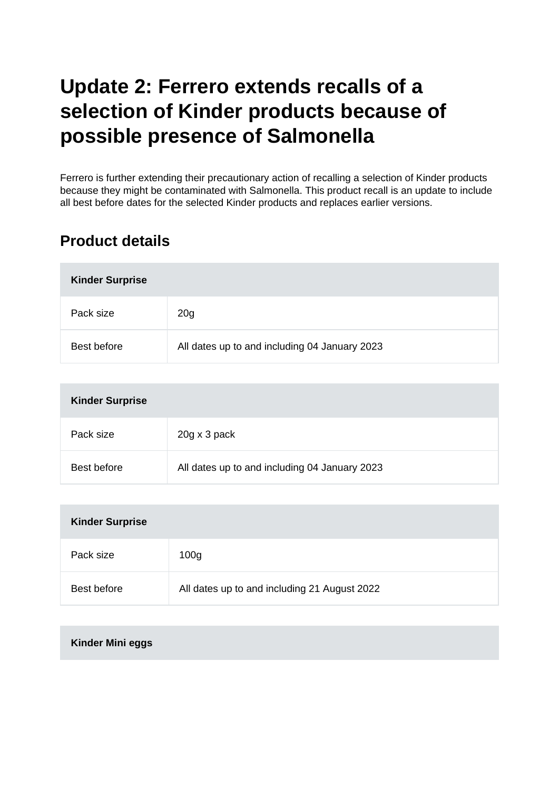# **Update 2: Ferrero extends recalls of a selection of Kinder products because of possible presence of Salmonella**

Ferrero is further extending their precautionary action of recalling a selection of Kinder products because they might be contaminated with Salmonella. This product recall is an update to include all best before dates for the selected Kinder products and replaces earlier versions.

#### **Product details**

| <b>Kinder Surprise</b> |                                               |  |
|------------------------|-----------------------------------------------|--|
| Pack size              | 20 <sub>g</sub>                               |  |
| Best before            | All dates up to and including 04 January 2023 |  |

| <b>Kinder Surprise</b> |                                               |  |
|------------------------|-----------------------------------------------|--|
| Pack size              | 20g x 3 pack                                  |  |
| Best before            | All dates up to and including 04 January 2023 |  |

| <b>Kinder Surprise</b> |                                              |  |
|------------------------|----------------------------------------------|--|
| Pack size              | 100 <sub>g</sub>                             |  |
| Best before            | All dates up to and including 21 August 2022 |  |

**Kinder Mini eggs**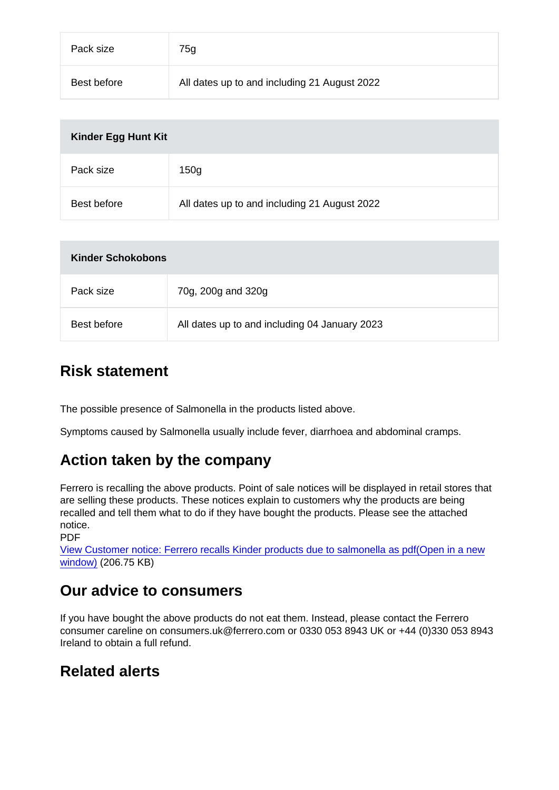| Pack size   | 75g                                          |
|-------------|----------------------------------------------|
| Best before | All dates up to and including 21 August 2022 |

| Kinder Egg Hunt Kit |                                              |  |
|---------------------|----------------------------------------------|--|
| Pack size           | 150 <sub>g</sub>                             |  |
| Best before         | All dates up to and including 21 August 2022 |  |

| Kinder Schokobons |                                               |
|-------------------|-----------------------------------------------|
| Pack size         | 70g, 200g and 320g                            |
| Best before       | All dates up to and including 04 January 2023 |

#### Risk statement

The possible presence of Salmonella in the products listed above.

Symptoms caused by Salmonella usually include fever, diarrhoea and abdominal cramps.

## Action taken by the company

Ferrero is recalling the above products. Point of sale notices will be displayed in retail stores that are selling these products. These notices explain to customers why the products are being recalled and tell them what to do if they have bought the products. Please see the attached notice.

PDF

[View Customer notice: Ferrero recalls Kinder products due to salmonella as pdf\(Open in a new](https://s3-eu-west-1.amazonaws.com/fsa-alerts-files/production/FSA-PRIN-25-2022-update-2/Customer-notice-Ferrero-recalls-Kinder-products-due-to-salmonella-3.pdf) [window\)](https://s3-eu-west-1.amazonaws.com/fsa-alerts-files/production/FSA-PRIN-25-2022-update-2/Customer-notice-Ferrero-recalls-Kinder-products-due-to-salmonella-3.pdf) (206.75 KB)

#### Our advice to consumers

If you have bought the above products do not eat them. Instead, please contact the Ferrero consumer careline on consumers.uk@ferrero.com or 0330 053 8943 UK or +44 (0)330 053 8943 Ireland to obtain a full refund.

## Related alerts